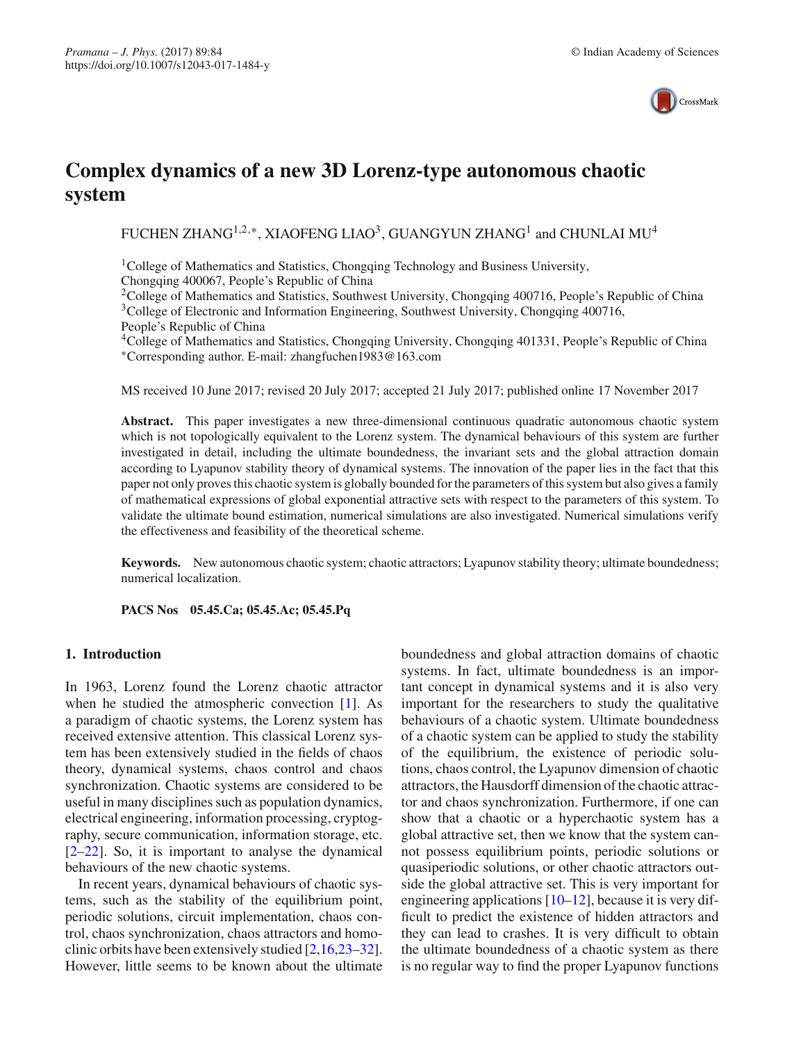

# **Complex dynamics of a new 3D Lorenz-type autonomous chaotic system**

FUCHEN ZHANG<sup>1,2,∗</sup>, XIAOFENG LIAO<sup>3</sup>, GUANGYUN ZHANG<sup>1</sup> and CHUNLAI MU<sup>4</sup>

<sup>1</sup>College of Mathematics and Statistics, Chongqing Technology and Business University, Chongqing 400067, People's Republic of China

<sup>2</sup>College of Mathematics and Statistics, Southwest University, Chongqing 400716, People's Republic of China <sup>3</sup>College of Electronic and Information Engineering, Southwest University, Chongqing 400716,

People's Republic of China

<sup>4</sup>College of Mathematics and Statistics, Chongqing University, Chongqing 401331, People's Republic of China ∗Corresponding author. E-mail: zhangfuchen1983@163.com

MS received 10 June 2017; revised 20 July 2017; accepted 21 July 2017; published online 17 November 2017

Abstract. This paper investigates a new three-dimensional continuous quadratic autonomous chaotic system which is not topologically equivalent to the Lorenz system. The dynamical behaviours of this system are further investigated in detail, including the ultimate boundedness, the invariant sets and the global attraction domain according to Lyapunov stability theory of dynamical systems. The innovation of the paper lies in the fact that this paper not only proves this chaotic system is globally bounded for the parameters of this system but also gives a family of mathematical expressions of global exponential attractive sets with respect to the parameters of this system. To validate the ultimate bound estimation, numerical simulations are also investigated. Numerical simulations verify the effectiveness and feasibility of the theoretical scheme.

**Keywords.** New autonomous chaotic system; chaotic attractors; Lyapunov stability theory; ultimate boundedness; numerical localization.

**PACS Nos 05.45.Ca; 05.45.Ac; 05.45.Pq**

# **1. Introduction**

In 1963, Lorenz found the Lorenz chaotic attractor when he studied the atmospheric convection [\[1](#page-6-0)]. As a paradigm of chaotic systems, the Lorenz system has received extensive attention. This classical Lorenz system has been extensively studied in the fields of chaos theory, dynamical systems, chaos control and chaos synchronization. Chaotic systems are considered to be useful in many disciplines such as population dynamics, electrical engineering, information processing, cryptography, secure communication, information storage, etc.  $[2-22]$  $[2-22]$ . So, it is important to analyse the dynamical behaviours of the new chaotic systems.

In recent years, dynamical behaviours of chaotic systems, such as the stability of the equilibrium point, periodic solutions, circuit implementation, chaos control, chaos synchronization, chaos attractors and homoclinic orbits have been extensively studied [\[2](#page-6-1)[,16](#page-6-3)[,23](#page-6-4)[–32](#page-7-0)]. However, little seems to be known about the ultimate boundedness and global attraction domains of chaotic systems. In fact, ultimate boundedness is an important concept in dynamical systems and it is also very important for the researchers to study the qualitative behaviours of a chaotic system. Ultimate boundedness of a chaotic system can be applied to study the stability of the equilibrium, the existence of periodic solutions, chaos control, the Lyapunov dimension of chaotic attractors, the Hausdorff dimension of the chaotic attractor and chaos synchronization. Furthermore, if one can show that a chaotic or a hyperchaotic system has a global attractive set, then we know that the system cannot possess equilibrium points, periodic solutions or quasiperiodic solutions, or other chaotic attractors outside the global attractive set. This is very important for engineering applications  $[10-12]$  $[10-12]$ , because it is very difficult to predict the existence of hidden attractors and they can lead to crashes. It is very difficult to obtain the ultimate boundedness of a chaotic system as there is no regular way to find the proper Lyapunov functions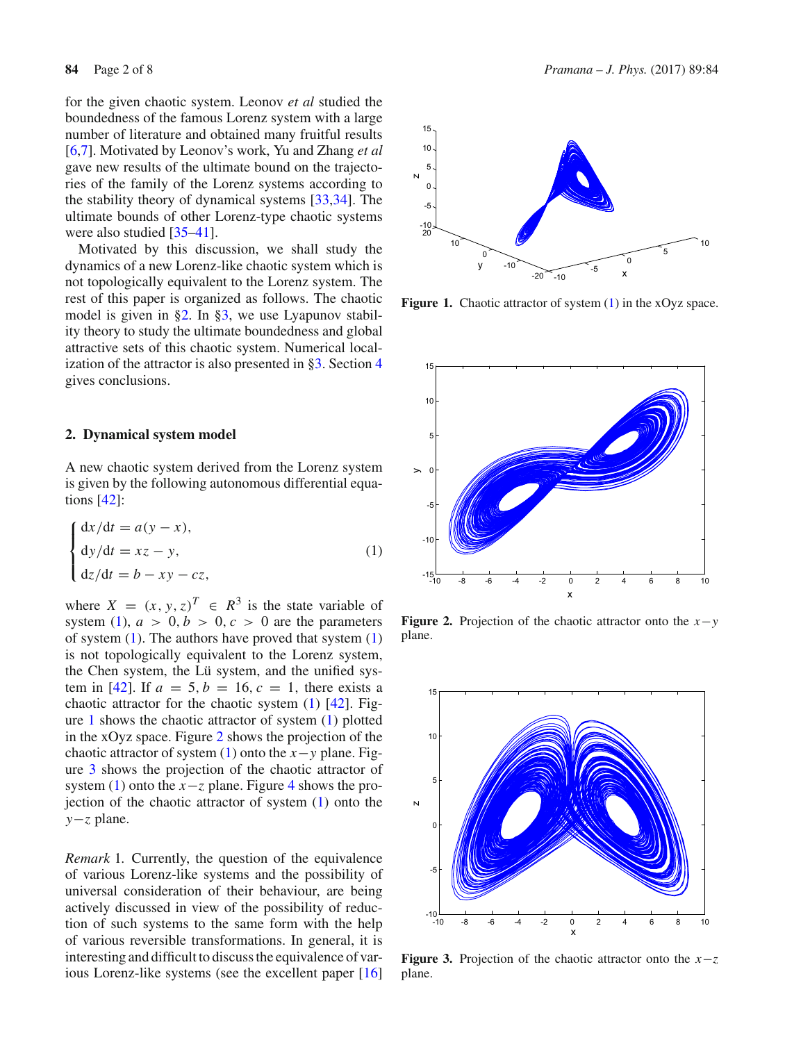for the given chaotic system. Leonov *et al* studied the boundedness of the famous Lorenz system with a large number of literature and obtained many fruitful results [\[6](#page-6-7)[,7\]](#page-6-8). Motivated by Leonov's work, Yu and Zhang *et al* gave new results of the ultimate bound on the trajectories of the family of the Lorenz systems according to the stability theory of dynamical systems [\[33](#page-7-1)[,34\]](#page-7-2). The ultimate bounds of other Lorenz-type chaotic systems were also studied [\[35](#page-7-3)[–41](#page-7-4)].

Motivated by this discussion, we shall study the dynamics of a new Lorenz-like chaotic system which is not topologically equivalent to the Lorenz system. The rest of this paper is organized as follows. The chaotic model is given in [§2.](#page-1-0) In [§3,](#page-2-0) we use Lyapunov stability theory to study the ultimate boundedness and global attractive sets of this chaotic system. Numerical localization of the attractor is also presented in [§3.](#page-2-0) Section [4](#page-6-9) gives conclusions.

#### <span id="page-1-0"></span>**2. Dynamical system model**

A new chaotic system derived from the Lorenz system is given by the following autonomous differential equations [\[42](#page-7-5)]:

<span id="page-1-1"></span>
$$
\begin{cases}\n\frac{dx}{dt} = a(y - x), \\
\frac{dy}{dt} = xz - y, \\
\frac{dz}{dt} = b - xy - cz,\n\end{cases}
$$
\n(1)

where  $X = (x, y, z)^T \in R^3$  is the state variable of system [\(1\)](#page-1-1),  $a > 0, b > 0, c > 0$  are the parameters of system  $(1)$ . The authors have proved that system  $(1)$ is not topologically equivalent to the Lorenz system, the Chen system, the Lü system, and the unified sys-tem in [\[42\]](#page-7-5). If  $a = 5, b = 16, c = 1$ , there exists a chaotic attractor for the chaotic system  $(1)$  [\[42\]](#page-7-5). Figure [1](#page-1-2) shows the chaotic attractor of system [\(1\)](#page-1-1) plotted in the xOyz space. Figure [2](#page-1-3) shows the projection of the chaotic attractor of system [\(1\)](#page-1-1) onto the  $x - y$  plane. Figure [3](#page-1-4) shows the projection of the chaotic attractor of system [\(1\)](#page-1-1) onto the  $x-z$  plane. Figure [4](#page-2-1) shows the projection of the chaotic attractor of system [\(1\)](#page-1-1) onto the *y*−*z* plane.

*Remark* 1*.* Currently, the question of the equivalence of various Lorenz-like systems and the possibility of universal consideration of their behaviour, are being actively discussed in view of the possibility of reduction of such systems to the same form with the help of various reversible transformations. In general, it is interesting and difficult to discuss the equivalence of various Lorenz-like systems (see the excellent paper [\[16\]](#page-6-3)



<span id="page-1-2"></span>Figure 1. Chaotic attractor of system [\(1\)](#page-1-1) in the xOyz space.



<span id="page-1-3"></span>**Figure 2.** Projection of the chaotic attractor onto the *x*−*y* plane.



<span id="page-1-4"></span>**Figure 3.** Projection of the chaotic attractor onto the *x*−*z* plane.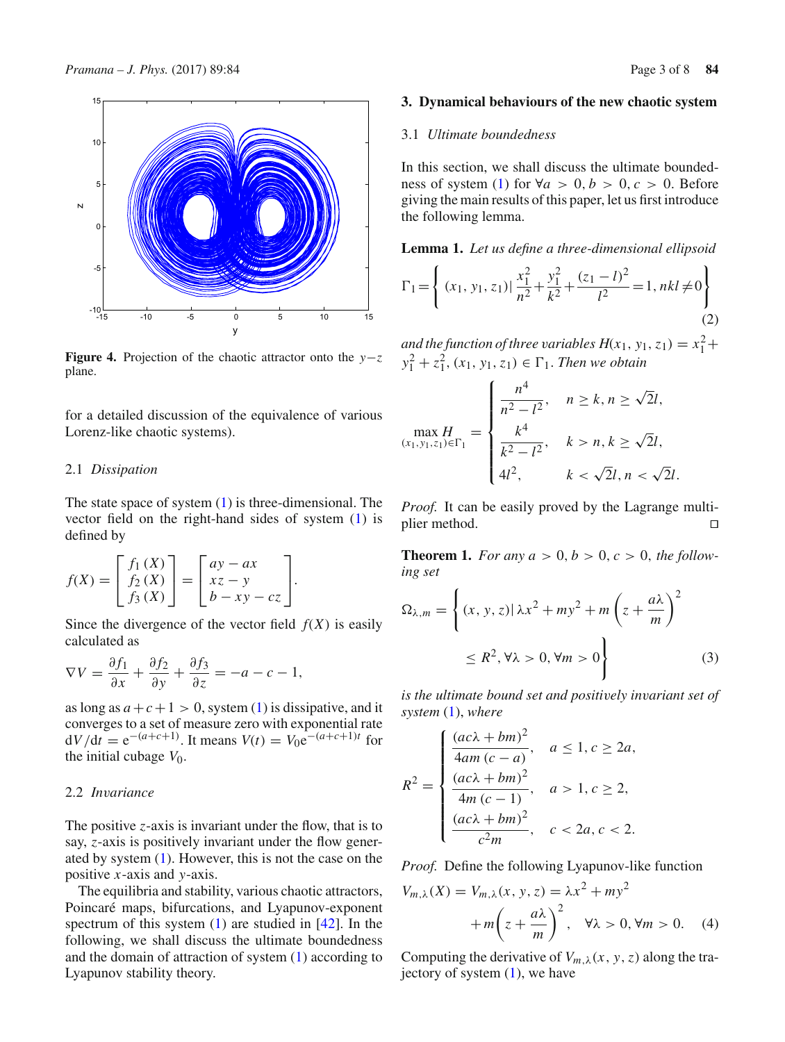

<span id="page-2-1"></span>**Figure 4.** Projection of the chaotic attractor onto the *y*−*z* plane.

for a detailed discussion of the equivalence of various Lorenz-like chaotic systems).

## 2.1 *Dissipation*

The state space of system  $(1)$  is three-dimensional. The vector field on the right-hand sides of system [\(1\)](#page-1-1) is defined by

$$
f(X) = \begin{bmatrix} f_1(X) \\ f_2(X) \\ f_3(X) \end{bmatrix} = \begin{bmatrix} ay - ax \\ xz - y \\ b - xy - cz \end{bmatrix}.
$$

Since the divergence of the vector field  $f(X)$  is easily calculated as

$$
\nabla V = \frac{\partial f_1}{\partial x} + \frac{\partial f_2}{\partial y} + \frac{\partial f_3}{\partial z} = -a - c - 1,
$$

as long as  $a + c + 1 > 0$ , system [\(1\)](#page-1-1) is dissipative, and it converges to a set of measure zero with exponential rate  $dV/dt = e^{-(a+c+1)}$ . It means  $V(t) = V_0e^{-(a+c+1)t}$  for the initial cubage  $V_0$ .

## 2.2 *Invariance*

The positive *z*-axis is invariant under the flow, that is to say, *z*-axis is positively invariant under the flow generated by system [\(1\)](#page-1-1). However, this is not the case on the positive *x*-axis and *y*-axis.

The equilibria and stability, various chaotic attractors, Poincaré maps, bifurcations, and Lyapunov-exponent spectrum of this system [\(1\)](#page-1-1) are studied in [\[42](#page-7-5)]. In the following, we shall discuss the ultimate boundedness and the domain of attraction of system [\(1\)](#page-1-1) according to Lyapunov stability theory.

### <span id="page-2-0"></span>**3. Dynamical behaviours of the new chaotic system**

## 3.1 *Ultimate boundedness*

In this section, we shall discuss the ultimate bounded-ness of system [\(1\)](#page-1-1) for  $\forall a > 0, b > 0, c > 0$ . Before giving the main results of this paper, let us first introduce the following lemma.

<span id="page-2-3"></span>**Lemma 1.** *Let us define a three-dimensional ellipsoid*

$$
\Gamma_1 = \left\{ (x_1, y_1, z_1) | \frac{x_1^2}{n^2} + \frac{y_1^2}{k^2} + \frac{(z_1 - l)^2}{l^2} = 1, nkl \neq 0 \right\}
$$
\n(2)

*and the function of three variables*  $H(x_1, y_1, z_1) = x_1^2 +$  $y_1^2 + z_1^2$ ,  $(x_1, y_1, z_1) \in \Gamma_1$ . *Then we obtain* 

$$
\max_{(x_1, y_1, z_1) \in \Gamma_1} H = \begin{cases} \frac{n^4}{n^2 - l^2}, & n \ge k, n \ge \sqrt{2}l, \\ \frac{k^4}{k^2 - l^2}, & k > n, k \ge \sqrt{2}l, \\ 4l^2, & k < \sqrt{2}l, n < \sqrt{2}l. \end{cases}
$$

*Proof.* It can be easily proved by the Lagrange multiplier method.  $\Box$ 

<span id="page-2-5"></span>**Theorem 1.** For any  $a > 0, b > 0, c > 0$ , the follow*ing set*

<span id="page-2-4"></span>
$$
\Omega_{\lambda,m} = \left\{ (x, y, z) | \lambda x^2 + my^2 + m \left( z + \frac{a\lambda}{m} \right)^2 \right\}
$$
  

$$
\leq R^2, \forall \lambda > 0, \forall m > 0 \right\}
$$
 (3)

*is the ultimate bound set and positively invariant set of system* [\(1\)](#page-1-1), *where*

$$
R^{2} = \begin{cases} \frac{(ac\lambda + bm)^{2}}{4am(c-a)}, & a \le 1, c \ge 2a, \\ \frac{(ac\lambda + bm)^{2}}{4m(c-1)}, & a > 1, c \ge 2, \\ \frac{(ac\lambda + bm)^{2}}{c^{2}m}, & c < 2a, c < 2. \end{cases}
$$

*Proof.* Define the following Lyapunov-like function

<span id="page-2-2"></span>
$$
V_{m,\lambda}(X) = V_{m,\lambda}(x, y, z) = \lambda x^2 + m y^2
$$
  
+ 
$$
m \left( z + \frac{a\lambda}{m} \right)^2, \quad \forall \lambda > 0, \forall m > 0. \quad (4)
$$

Computing the derivative of  $V_{m,\lambda}(x, y, z)$  along the trajectory of system  $(1)$ , we have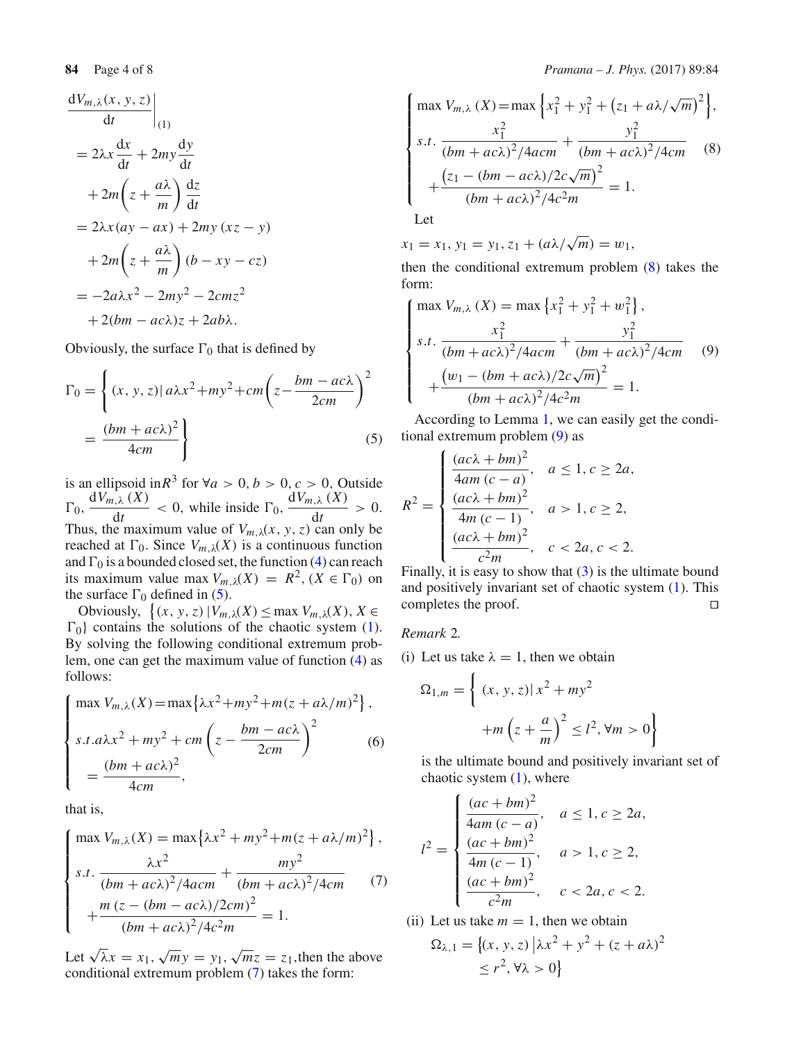$$
\frac{dV_{m,\lambda}(x, y, z)}{dt}
$$
\n
$$
= 2\lambda x \frac{dx}{dt} + 2my \frac{dy}{dt}
$$
\n
$$
+ 2m\left(z + \frac{a\lambda}{m}\right) \frac{dz}{dt}
$$
\n
$$
= 2\lambda x (ay - ax) + 2my (xz - y)
$$
\n
$$
+ 2m\left(z + \frac{a\lambda}{m}\right)(b - xy - cz)
$$
\n
$$
= -2a\lambda x^2 - 2my^2 - 2cmz^2
$$
\n
$$
+ 2(bm - ac\lambda)z + 2ab\lambda.
$$

Obviously, the surface  $\Gamma_0$  that is defined by

<span id="page-3-0"></span>
$$
\Gamma_0 = \left\{ (x, y, z) | a\lambda x^2 + my^2 + cm \left( z - \frac{bm - ac\lambda}{2cm} \right)^2 \right\}
$$

$$
= \frac{(bm + ac\lambda)^2}{4cm} \right\}
$$
(5)

is an ellipsoid in  $R^3$  for  $\forall a > 0, b > 0, c > 0$ , Outside  $\Gamma_0$ ,  $\frac{dV_{m,\lambda}(X)}{dt}$  $\frac{dV_{m,\lambda}(X)}{dt}$  < 0, while inside  $\Gamma_0$ ,  $\frac{dV_{m,\lambda}(X)}{dt}$  $\frac{d}{dt} > 0.$ Thus, the maximum value of  $V_{m,\lambda}(x, y, z)$  can only be reached at  $\Gamma_0$ . Since  $V_{m,\lambda}(X)$  is a continuous function and  $\Gamma_0$  is a bounded closed set, the function [\(4\)](#page-2-2) can reach its maximum value max  $V_{m,\lambda}(X) = R^2$ ,  $(X \in \Gamma_0)$  on the surface  $\Gamma_0$  defined in [\(5\)](#page-3-0).

Obviously,  $\{(x, y, z) | V_{m,\lambda}(X) \le \max V_{m,\lambda}(X), X \in$  $\Gamma_0$  contains the solutions of the chaotic system [\(1\)](#page-1-1). By solving the following conditional extremum problem, one can get the maximum value of function [\(4\)](#page-2-2) as follows:

$$
\begin{cases}\n\max V_{m,\lambda}(X) = \max \{ \lambda x^2 + m y^2 + m (z + a \lambda / m)^2 \}, \\
s.t. a \lambda x^2 + m y^2 + cm \left( z - \frac{bm - ac \lambda}{2cm} \right)^2 \\
= \frac{(bm + ac \lambda)^2}{4cm},\n\end{cases} (6)
$$

that is,

<span id="page-3-1"></span>
$$
\begin{cases}\n\max V_{m,\lambda}(X) = \max \{ \lambda x^2 + my^2 + m(z + a\lambda/m)^2 \}, \\
s.t. \frac{\lambda x^2}{(bm + ac\lambda)^2/4acm} + \frac{my^2}{(bm + ac\lambda)^2/4cm} \\
+ \frac{m(z - (bm - ac\lambda)/2cm)^2}{(bm + ac\lambda)^2/4c^2m} = 1.\n\end{cases} (7)
$$

Let  $\sqrt{\lambda}x = x_1, \sqrt{m}y = y_1, \sqrt{m}z = z_1$ , then the above conditional extremum problem [\(7\)](#page-3-1) takes the form:

<span id="page-3-2"></span>
$$
\begin{cases}\n\max V_{m,\lambda}(X) = \max \left\{ x_1^2 + y_1^2 + (z_1 + a\lambda/\sqrt{m})^2 \right\}, \\
s.t. \frac{x_1^2}{(bm + ac\lambda)^2/4acm} + \frac{y_1^2}{(bm + ac\lambda)^2/4cm} \\
+ \frac{(z_1 - (bm - ac\lambda)/2c\sqrt{m})^2}{(bm + ac\lambda)^2/4c^2m} = 1.\n\end{cases}
$$
\n(8)

 $x_1 = x_1, y_1 = y_1, z_1 + (a\lambda/\sqrt{m}) = w_1$ 

then the conditional extremum problem [\(8\)](#page-3-2) takes the form:

<span id="page-3-3"></span>
$$
\begin{cases}\n\max V_{m,\lambda}(X) = \max \left\{ x_1^2 + y_1^2 + w_1^2 \right\}, \\
s.t. \frac{x_1^2}{(bm + ac\lambda)^2/4acm} + \frac{y_1^2}{(bm + ac\lambda)^2/4cm} \\
+ \frac{(w_1 - (bm + ac\lambda)/2c\sqrt{m})^2}{(bm + ac\lambda)^2/4c^2m} = 1.\n\end{cases} (9)
$$

According to Lemma [1,](#page-2-3) we can easily get the conditional extremum problem [\(9\)](#page-3-3) as

$$
R^{2} = \begin{cases} \frac{(ac\lambda + bm)^{2}}{4am(c-a)}, & a \le 1, c \ge 2a, \\ \frac{(ac\lambda + bm)^{2}}{4m(c-1)}, & a > 1, c \ge 2, \\ \frac{(ac\lambda + bm)^{2}}{c^{2}m}, & c < 2a, c < 2. \end{cases}
$$

Finally, it is easy to show that  $(3)$  is the ultimate bound and positively invariant set of chaotic system [\(1\)](#page-1-1). This completes the proof.  $\Box$ 

# *Remark* 2*.*

(i) Let us take  $\lambda = 1$ , then we obtain

$$
\Omega_{1,m} = \left\{ (x, y, z) | x^2 + my^2
$$

$$
+ m \left( z + \frac{a}{m} \right)^2 \le l^2, \forall m > 0 \right\}
$$

is the ultimate bound and positively invariant set of chaotic system  $(1)$ , where

$$
l^{2} = \begin{cases} \frac{(ac + bm)^{2}}{4am(c - a)}, & a \le 1, c \ge 2a, \\ \frac{(ac + bm)^{2}}{4m(c - 1)}, & a > 1, c \ge 2, \\ \frac{(ac + bm)^{2}}{c^{2}m}, & c < 2a, c < 2. \end{cases}
$$

(ii) Let us take  $m = 1$ , then we obtain

$$
\Omega_{\lambda,1} = \{(x, y, z) | \lambda x^2 + y^2 + (z + a\lambda)^2
$$
  
\n
$$
\leq r^2, \forall \lambda > 0 \}
$$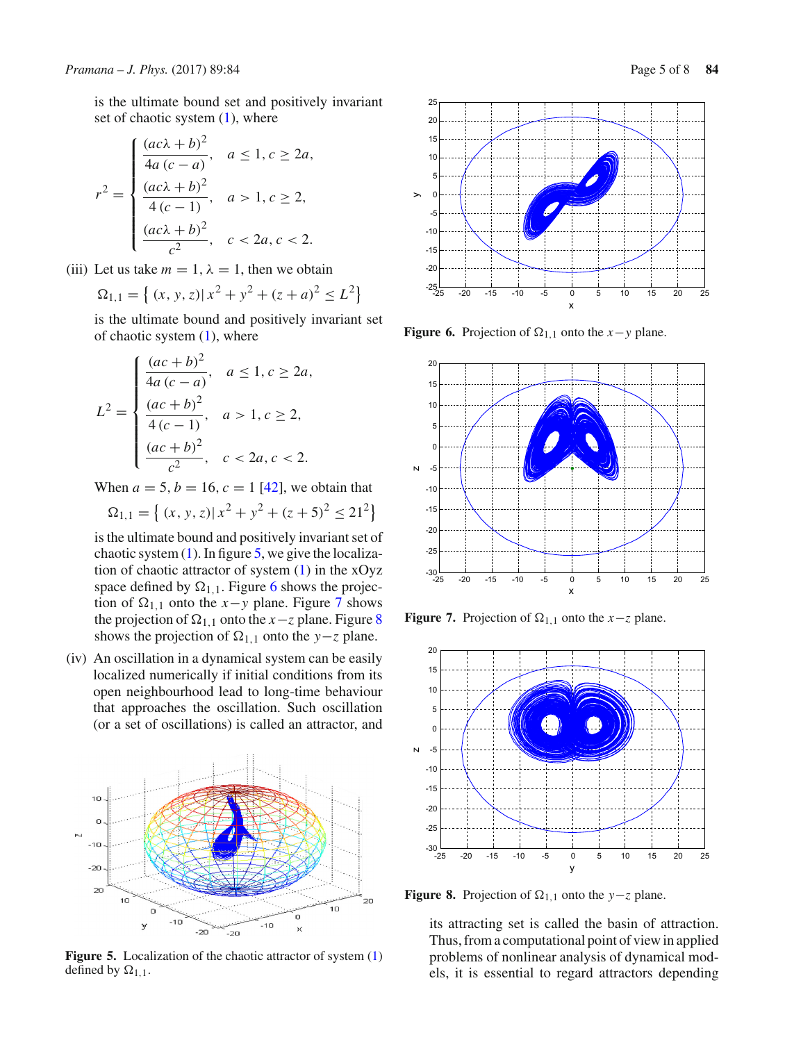is the ultimate bound set and positively invariant set of chaotic system  $(1)$ , where

$$
r^{2} = \begin{cases} \frac{(ac\lambda + b)^{2}}{4a(c - a)}, & a \le 1, c \ge 2a, \\ \frac{(ac\lambda + b)^{2}}{4(c - 1)}, & a > 1, c \ge 2, \\ \frac{(ac\lambda + b)^{2}}{c^{2}}, & c < 2a, c < 2. \end{cases}
$$

(iii) Let us take  $m = 1$ ,  $\lambda = 1$ , then we obtain

$$
\Omega_{1,1} = \left\{ (x, y, z) | x^2 + y^2 + (z + a)^2 \le L^2 \right\}
$$

is the ultimate bound and positively invariant set of chaotic system  $(1)$ , where

$$
L^{2} = \begin{cases} \frac{(ac+b)^{2}}{4a(c-a)}, & a \le 1, c \ge 2a, \\ \frac{(ac+b)^{2}}{4(c-1)}, & a > 1, c \ge 2, \\ \frac{(ac+b)^{2}}{c^{2}}, & c < 2a, c < 2. \end{cases}
$$

When  $a = 5$ ,  $b = 16$ ,  $c = 1$  [\[42](#page-7-5)], we obtain that

$$
\Omega_{1,1} = \left\{ (x, y, z) | x^2 + y^2 + (z + 5)^2 \le 21^2 \right\}
$$

is the ultimate bound and positively invariant set of chaotic system  $(1)$ . In figure [5,](#page-4-0) we give the localization of chaotic attractor of system  $(1)$  in the xOyz space defined by  $\Omega_{1,1}$ . Figure [6](#page-4-1) shows the projection of  $\Omega_{1,1}$  onto the *x*−*y* plane. Figure [7](#page-4-2) shows the projection of  $\Omega_{1,1}$  onto the *x*−*z* plane. Figure [8](#page-4-3) shows the projection of  $\Omega_{1,1}$  onto the *y*−*z* plane.

(iv) An oscillation in a dynamical system can be easily localized numerically if initial conditions from its open neighbourhood lead to long-time behaviour that approaches the oscillation. Such oscillation (or a set of oscillations) is called an attractor, and



<span id="page-4-0"></span>**Figure 5.** Localization of the chaotic attractor of system  $(1)$ defined by  $\Omega_{1,1}$ .



<span id="page-4-1"></span>**Figure 6.** Projection of  $\Omega_{1,1}$  onto the *x*−*y* plane.



<span id="page-4-2"></span>**Figure 7.** Projection of  $\Omega_{1,1}$  onto the *x*−*z* plane.



**Figure 8.** Projection of  $\Omega_{1,1}$  onto the *y*−*z* plane.

<span id="page-4-3"></span>its attracting set is called the basin of attraction. Thus, from a computational point of view in applied problems of nonlinear analysis of dynamical models, it is essential to regard attractors depending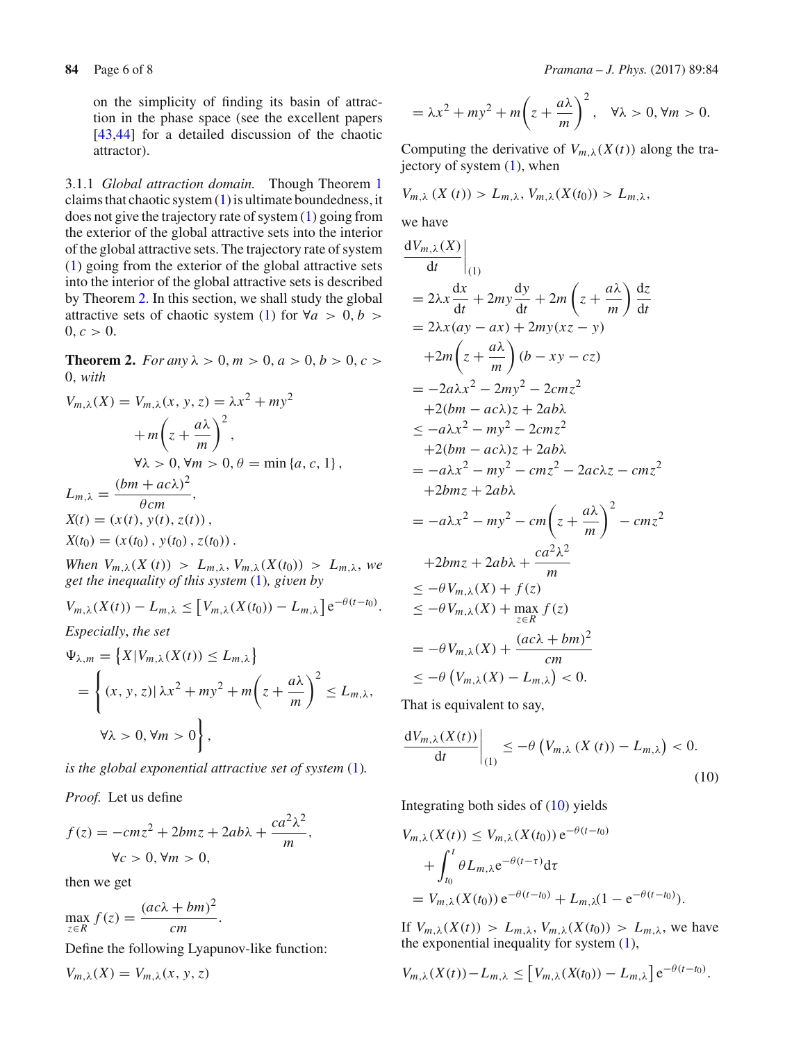on the simplicity of finding its basin of attraction in the phase space (see the excellent papers [\[43](#page-7-6)[,44](#page-7-7)] for a detailed discussion of the chaotic attractor).

3.1.1 *Global attraction domain.* Though Theorem [1](#page-2-5) claims that chaotic system [\(1\)](#page-1-1) is ultimate boundedness, it does not give the trajectory rate of system [\(1\)](#page-1-1) going from the exterior of the global attractive sets into the interior of the global attractive sets. The trajectory rate of system [\(1\)](#page-1-1) going from the exterior of the global attractive sets into the interior of the global attractive sets is described by Theorem [2.](#page-5-0) In this section, we shall study the global attractive sets of chaotic system [\(1\)](#page-1-1) for  $\forall a > 0, b >$  $0, c > 0.$ 

<span id="page-5-0"></span>**Theorem 2.** *For any*  $\lambda > 0$ ,  $m > 0$ ,  $a > 0$ ,  $b > 0$ ,  $c > 0$ 0, *with*

$$
V_{m,\lambda}(X) = V_{m,\lambda}(x, y, z) = \lambda x^2 + m y^2
$$
  
+ 
$$
m \left(z + \frac{a\lambda}{m}\right)^2,
$$
  

$$
\forall \lambda > 0, \forall m > 0, \theta = \min \{a, c, 1\},
$$
  

$$
L_{m,\lambda} = \frac{(bm + ac\lambda)^2}{\theta cm},
$$
  

$$
X(t) = (x(t), y(t), z(t)),
$$
  

$$
X(t_0) = (x(t_0), y(t_0), z(t_0)).
$$

*When*  $V_{m,\lambda}(X(t)) > L_{m,\lambda}, V_{m,\lambda}(X(t_0)) > L_{m,\lambda},$  we *get the inequality of this system* [\(1\)](#page-1-1)*, given by*

$$
V_{m,\lambda}(X(t)) - L_{m,\lambda} \leq \left[ V_{m,\lambda}(X(t_0)) - L_{m,\lambda} \right] e^{-\theta(t-t_0)}.
$$

*Especially*, *the set*

$$
\Psi_{\lambda,m} = \{ X | V_{m,\lambda}(X(t)) \le L_{m,\lambda} \}
$$
  
= 
$$
\left\{ (x, y, z) | \lambda x^2 + m y^2 + m \left( z + \frac{a\lambda}{m} \right)^2 \le L_{m,\lambda}, \right\}
$$
  

$$
\forall \lambda > 0, \forall m > 0 \right\},
$$

*is the global exponential attractive set of system* [\(1\)](#page-1-1)*.*

*Proof.* Let us define

$$
f(z) = -cmz^{2} + 2bmz + 2ab\lambda + \frac{ca^{2}\lambda^{2}}{m},
$$
  

$$
\forall c > 0, \forall m > 0,
$$

then we get

 $\max_{z \in R} f(z) = \frac{(ac\lambda + bm)^2}{cm}$  $\frac{1}{cm}$ .

Define the following Lyapunov-like function:

$$
V_{m,\lambda}(X) = V_{m,\lambda}(x, y, z)
$$

$$
= \lambda x^2 + my^2 + m\left(z + \frac{a\lambda}{m}\right)^2, \quad \forall \lambda > 0, \forall m > 0.
$$

Computing the derivative of  $V_{m,\lambda}(X(t))$  along the trajectory of system  $(1)$ , when

$$
V_{m,\lambda}(X(t)) > L_{m,\lambda}, V_{m,\lambda}(X(t_0)) > L_{m,\lambda},
$$

we have

$$
\frac{dV_{m,\lambda}(X)}{dt}\Big|_{(1)}
$$
\n
$$
= 2\lambda x \frac{dx}{dt} + 2my \frac{dy}{dt} + 2m\left(z + \frac{a\lambda}{m}\right) \frac{dz}{dt}
$$
\n
$$
= 2\lambda x (ay - ax) + 2my(xz - y)
$$
\n
$$
+ 2m\left(z + \frac{a\lambda}{m}\right)(b - xy - cz)
$$
\n
$$
= -2a\lambda x^2 - 2my^2 - 2cnz^2
$$
\n
$$
+ 2(bm - ac\lambda)z + 2ab\lambda
$$
\n
$$
\le -a\lambda x^2 - my^2 - 2cnz^2
$$
\n
$$
+ 2(bm - ac\lambda)z + 2ab\lambda
$$
\n
$$
= -a\lambda x^2 - my^2 - cmz^2 - 2ac\lambda z - cmz^2
$$
\n
$$
+ 2bmz + 2ab\lambda
$$
\n
$$
= -a\lambda x^2 - my^2 - cm\left(z + \frac{a\lambda}{m}\right)^2 - cmz^2
$$
\n
$$
+ 2bmz + 2ab\lambda + \frac{ca^2\lambda^2}{m}
$$
\n
$$
\le -\theta V_{m,\lambda}(X) + f(z)
$$
\n
$$
\le -\theta V_{m,\lambda}(X) + \max_{z \in R} f(z)
$$
\n
$$
= -\theta V_{m,\lambda}(X) + \frac{(ac\lambda + bm)^2}{cm}
$$
\n
$$
\le -\theta (V_{m,\lambda}(X) - L_{m,\lambda}) < 0.
$$

<span id="page-5-1"></span>That is equivalent to say,

$$
\left. \frac{\mathrm{d}V_{m,\lambda}(X(t))}{\mathrm{d}t} \right|_{(1)} \leq -\theta \left( V_{m,\lambda} \left( X \left( t \right) \right) - L_{m,\lambda} \right) < 0. \tag{10}
$$

Integrating both sides of [\(10\)](#page-5-1) yields

$$
V_{m,\lambda}(X(t)) \leq V_{m,\lambda}(X(t_0)) e^{-\theta(t-t_0)}
$$
  
+ 
$$
\int_{t_0}^t \theta L_{m,\lambda} e^{-\theta(t-\tau)} d\tau
$$
  
= 
$$
V_{m,\lambda}(X(t_0)) e^{-\theta(t-t_0)} + L_{m,\lambda}(1 - e^{-\theta(t-t_0)}).
$$

If  $V_{m,\lambda}(X(t)) > L_{m,\lambda}, V_{m,\lambda}(X(t_0)) > L_{m,\lambda}$ , we have the exponential inequality for system [\(1\)](#page-1-1),

$$
V_{m,\lambda}(X(t)) - L_{m,\lambda} \leq \left[ V_{m,\lambda}(X(t_0)) - L_{m,\lambda} \right] e^{-\theta(t-t_0)}.
$$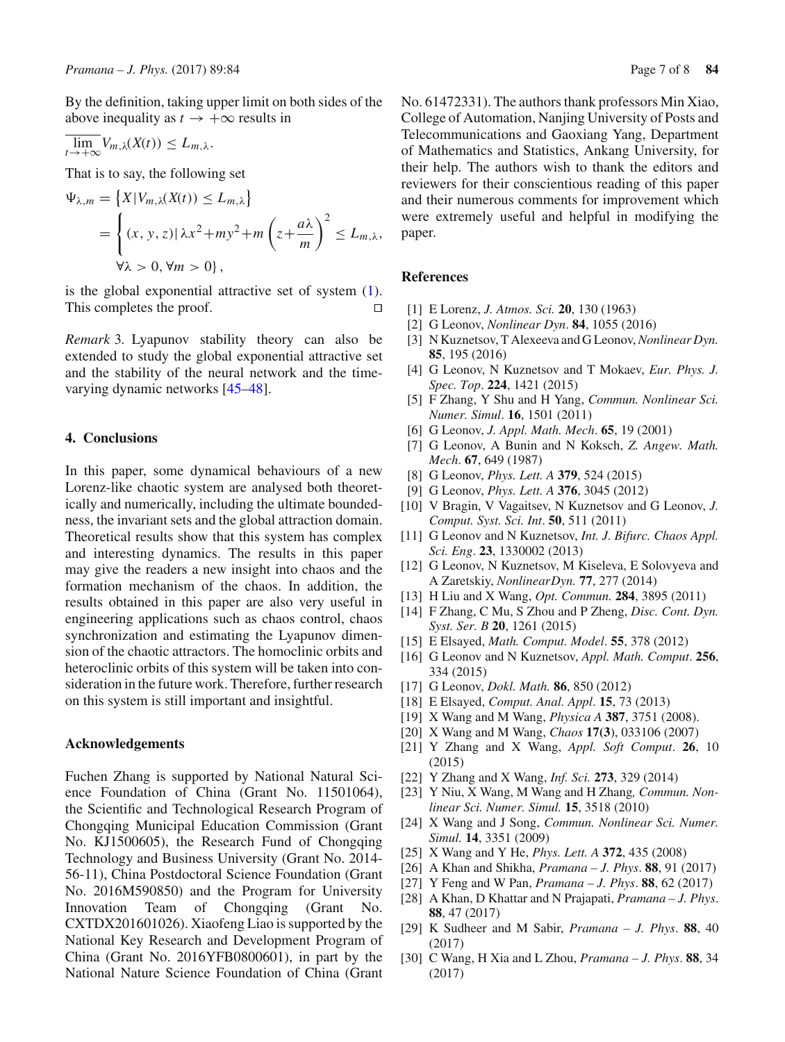By the definition, taking upper limit on both sides of the above inequality as  $t \rightarrow +\infty$  results in

$$
\overline{\lim}_{t\to+\infty}V_{m,\lambda}(X(t))\leq L_{m,\lambda}.
$$

That is to say, the following set

$$
\Psi_{\lambda,m} = \{ X | V_{m,\lambda}(X(t)) \le L_{m,\lambda} \}
$$
  
= 
$$
\left\{ (x, y, z) | \lambda x^2 + my^2 + m \left( z + \frac{a\lambda}{m} \right)^2 \le L_{m,\lambda}, \right\}
$$
  

$$
\forall \lambda > 0, \forall m > 0 \},
$$

is the global exponential attractive set of system [\(1\)](#page-1-1). This completes the proof.

*Remark* 3*.* Lyapunov stability theory can also be extended to study the global exponential attractive set and the stability of the neural network and the timevarying dynamic networks [\[45](#page-7-8)[–48\]](#page-7-9).

# <span id="page-6-9"></span>**4. Conclusions**

In this paper, some dynamical behaviours of a new Lorenz-like chaotic system are analysed both theoretically and numerically, including the ultimate boundedness, the invariant sets and the global attraction domain. Theoretical results show that this system has complex and interesting dynamics. The results in this paper may give the readers a new insight into chaos and the formation mechanism of the chaos. In addition, the results obtained in this paper are also very useful in engineering applications such as chaos control, chaos synchronization and estimating the Lyapunov dimension of the chaotic attractors. The homoclinic orbits and heteroclinic orbits of this system will be taken into consideration in the future work. Therefore, further research on this system is still important and insightful.

#### **Acknowledgements**

Fuchen Zhang is supported by National Natural Science Foundation of China (Grant No. 11501064), the Scientific and Technological Research Program of Chongqing Municipal Education Commission (Grant No. KJ1500605), the Research Fund of Chongqing Technology and Business University (Grant No. 2014- 56-11), China Postdoctoral Science Foundation (Grant No. 2016M590850) and the Program for University Innovation Team of Chongqing (Grant No. CXTDX201601026). Xiaofeng Liao is supported by the National Key Research and Development Program of China (Grant No. 2016YFB0800601), in part by the National Nature Science Foundation of China (Grant No. 61472331). The authors thank professors Min Xiao, College of Automation, Nanjing University of Posts and Telecommunications and Gaoxiang Yang, Department of Mathematics and Statistics, Ankang University, for their help. The authors wish to thank the editors and reviewers for their conscientious reading of this paper and their numerous comments for improvement which were extremely useful and helpful in modifying the paper.

### **References**

- <span id="page-6-0"></span>[1] E Lorenz, *J. Atmos. Sci.* **20**, 130 (1963)
- <span id="page-6-1"></span>[2] G Leonov, *Nonlinear Dyn*. **84**, 1055 (2016)
- [3] N Kuznetsov, T Alexeeva and G Leonov,*Nonlinear Dyn.* **85**, 195 (2016)
- [4] G Leonov, N Kuznetsov and T Mokaev, *Eur. Phys. J. Spec. Top*. **224**, 1421 (2015)
- [5] F Zhang, Y Shu and H Yang, *Commun. Nonlinear Sci. Numer. Simul*. **16**, 1501 (2011)
- <span id="page-6-7"></span>[6] G Leonov, *J. Appl. Math. Mech*. **65**, 19 (2001)
- <span id="page-6-8"></span>[7] G Leonov, A Bunin and N Koksch, *Z. Angew. Math. Mech*. **67**, 649 (1987)
- [8] G Leonov, *Phys. Lett. A* **379**, 524 (2015)
- [9] G Leonov, *Phys. Lett. A* **376**, 3045 (2012)
- <span id="page-6-5"></span>[10] V Bragin, V Vagaitsev, N Kuznetsov and G Leonov, *J. Comput. Syst. Sci. Int*. **50**, 511 (2011)
- [11] G Leonov and N Kuznetsov, *Int. J. Bifurc. Chaos Appl. Sci. Eng*. **23**, 1330002 (2013)
- <span id="page-6-6"></span>[12] G Leonov, N Kuznetsov, M Kiseleva, E Solovyeva and A Zaretskiy, *NonlinearDyn.* **77**, 277 (2014)
- [13] H Liu and X Wang, *Opt. Commun.* **284**, 3895 (2011)
- [14] F Zhang, C Mu, S Zhou and P Zheng, *Disc. Cont. Dyn. Syst. Ser. B* **20**, 1261 (2015)
- [15] E Elsayed, *Math. Comput. Model*. **55**, 378 (2012)
- <span id="page-6-3"></span>[16] G Leonov and N Kuznetsov, *Appl. Math. Comput*. **256**, 334 (2015)
- [17] G Leonov, *Dokl. Math.* **86**, 850 (2012)
- [18] E Elsayed, *Comput. Anal. Appl*. **15**, 73 (2013)
- [19] X Wang and M Wang, *Physica A* **387**, 3751 (2008).
- [20] X Wang and M Wang, *Chaos* **17(3**), 033106 (2007)
- [21] Y Zhang and X Wang, *Appl. Soft Comput*. **26**, 10 (2015)
- <span id="page-6-2"></span>[22] Y Zhang and X Wang, *Inf. Sci.* **273**, 329 (2014)
- <span id="page-6-4"></span>[23] Y Niu, X Wang, M Wang and H Zhang*, Commun. Nonlinear Sci. Numer. Simul.* **15**, 3518 (2010)
- [24] X Wang and J Song, *Commun. Nonlinear Sci. Numer. Simul.* **14**, 3351 (2009)
- [25] X Wang and Y He, *Phys. Lett. A* **372**, 435 (2008)
- [26] A Khan and Shikha, *Pramana J. Phys*. **88**, 91 (2017)
- [27] Y Feng and W Pan, *Pramana J. Phys*. **88**, 62 (2017)
- [28] A Khan, D Khattar and N Prajapati, *Pramana J. Phys*. **88**, 47 (2017)
- [29] K Sudheer and M Sabir, *Pramana J. Phys*. **88**, 40 (2017)
- [30] C Wang, H Xia and L Zhou, *Pramana J. Phys*. **88**, 34 (2017)